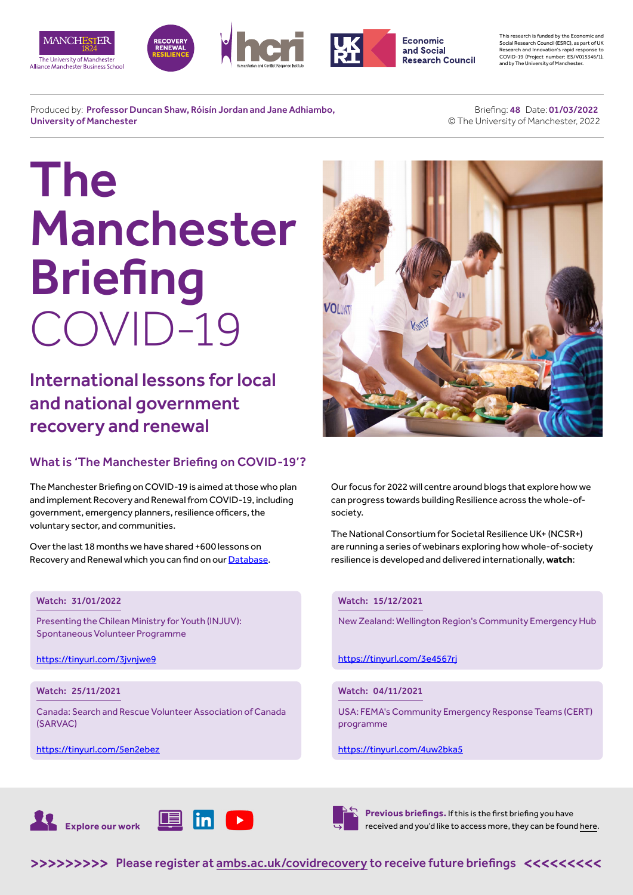







**Economic** and Social **Research Council**  This research is funded by the Economic and Social Research Council (ESRC), as part of UK Research and Innovation's rapid response to COVID-19 (Project number: ES/V015346/1), and by The University of Manchester.

Produced by: Professor Duncan Shaw, Róisín Jordan and Jane Adhiambo, University of Manchester

 Briefing: 48 Date: 01/03/2022 © The University of Manchester, 2022

# The Manchester **Briefing** COVID-19

International lessons for local and national government recovery and renewal

### What is 'The Manchester Briefing on COVID-19'?

The Manchester Briefing on COVID-19 is aimed at those who plan and implement Recovery and Renewal from COVID-19, including government, emergency planners, resilience officers, the voluntary sector, and communities.

Over the last 18 months we have shared +600 lessons on Recovery and Renewal which you can find on our [Database](https://recoverydatabase.manchester.ac.uk/lessons/).

#### Watch: 31/01/2022

Presenting the Chilean Ministry for Youth (INJUV): Spontaneous Volunteer Programme

<https://tinyurl.com/3jvnjwe9>

#### Watch: 25/11/2021

Canada: Search and Rescue Volunteer Association of Canada (SARVAC)

<https://tinyurl.com/5en2ebez>



Our focus for 2022 will centre around blogs that explore how we can progress towards building Resilience across the whole-ofsociety.

The National Consortium for Societal Resilience UK+ (NCSR+) are running a series of webinars exploring how whole-of-society resilience is developed and delivered internationally, **watch**:

#### Watch: 15/12/2021

New Zealand: Wellington Region's Community Emergency Hub

<https://tinyurl.com/3e4567rj>

#### Watch: 04/11/2021

USA: FEMA's Community Emergency Response Teams (CERT) programme

#### https://tinyurl.com/4uw2bka5





**Previous briefings.** If this is the first briefing you have received and you'd like to access more, they can be found [here](https://www.alliancembs.manchester.ac.uk/research/recovery-renewal-resilience-from-covid-19/briefings/).

>>>>>>>>> [Please register at ambs.ac.uk/covidrecovery to receive future briefings](https://www.alliancembs.manchester.ac.uk/research/recovery-renewal-resilience-from-covid-19/) <<<<<<<<<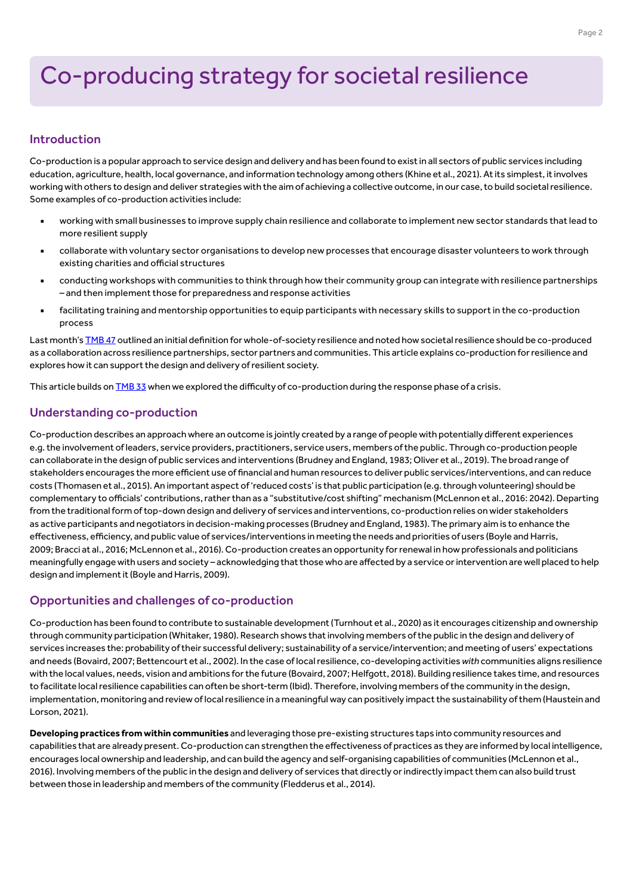## Co-producing strategy for societal resilience

#### Introduction

Co-production is a popular approach to service design and delivery and has been found to exist in all sectors of public services including education, agriculture, health, local governance, and information technology among others (Khine et al., 2021). At its simplest, it involves working with others to design and deliver strategies with the aim of achieving a collective outcome, in our case, to build societal resilience. Some examples of co-production activities include:

- working with small businesses to improve supply chain resilience and collaborate to implement new sector standards that lead to more resilient supply
- collaborate with voluntary sector organisations to develop new processes that encourage disaster volunteers to work through existing charities and official structures
- conducting workshops with communities to think through how their community group can integrate with resilience partnerships – and then implement those for preparedness and response activities
- facilitating training and mentorship opportunities to equip participants with necessary skills to support in the co-production process

Last month's [TMB 47](https://www.alliancembs.manchester.ac.uk/media/ambs/content-assets/documents/news/the-manchester-briefing-on-covid-19-b47-1st-february-2022.pdf) outlined an initial definition for whole-of-society resilience and noted how societal resilience should be co-produced as a collaboration across resilience partnerships, sector partners and communities. This article explains co-production for resilience and explores how it can support the design and delivery of resilient society.

This article builds on [TMB 33](https://www.alliancembs.manchester.ac.uk/media/ambs/content-assets/documents/news/the-manchester-briefing-on-covid-19-b33-wb-9th-april-2021.pdf) when we explored the difficulty of co-production during the response phase of a crisis.

#### Understanding co-production

Co-production describes an approach where an outcome is jointly created by a range of people with potentially different experiences e.g. the involvement of leaders, service providers, practitioners, service users, members of the public. Through co-production people can collaborate in the design of public services and interventions (Brudney and England, 1983; Oliver et al., 2019). The broad range of stakeholders encourages the more efficient use of financial and human resources to deliver public services/interventions, and can reduce costs (Thomasen et al., 2015). An important aspect of 'reduced costs' is that public participation (e.g. through volunteering) should be complementary to officials' contributions, rather than as a "substitutive/cost shifting" mechanism (McLennon et al., 2016: 2042). Departing from the traditional form of top-down design and delivery of services and interventions, co-production relies on wider stakeholders as active participants and negotiators in decision-making processes (Brudney and England, 1983). The primary aim is to enhance the effectiveness, efficiency, and public value of services/interventions in meeting the needs and priorities of users (Boyle and Harris, 2009; Bracci at al., 2016; McLennon et al., 2016). Co-production creates an opportunity for renewal in how professionals and politicians meaningfully engage with users and society – acknowledging that those who are affected by a service or intervention are well placed to help design and implement it (Boyle and Harris, 2009).

#### Opportunities and challenges of co-production

Co-production has been found to contribute to sustainable development (Turnhout et al., 2020) as it encourages citizenship and ownership through community participation (Whitaker, 1980). Research shows that involving members of the public in the design and delivery of services increases the: probability of their successful delivery; sustainability of a service/intervention; and meeting of users' expectations and needs (Bovaird, 2007; Bettencourt et al., 2002). In the case of local resilience, co-developing activities *with* communities aligns resilience with the local values, needs, vision and ambitions for the future (Bovaird, 2007; Helfgott, 2018). Building resilience takes time, and resources to facilitate local resilience capabilities can often be short-term (Ibid). Therefore, involving members of the community in the design, implementation, monitoring and review of local resilience in a meaningful way can positively impact the sustainability of them (Haustein and Lorson, 2021).

**Developing practices from within communities** and leveraging those pre-existing structures taps into community resources and capabilities that are already present. Co-production can strengthen the effectiveness of practices as they are informed by local intelligence, encourages local ownership and leadership, and can build the agency and self-organising capabilities of communities (McLennon et al., 2016). Involving members of the public in the design and delivery of services that directly or indirectly impact them can also build trust between those in leadership and members of the community (Fledderus et al., 2014).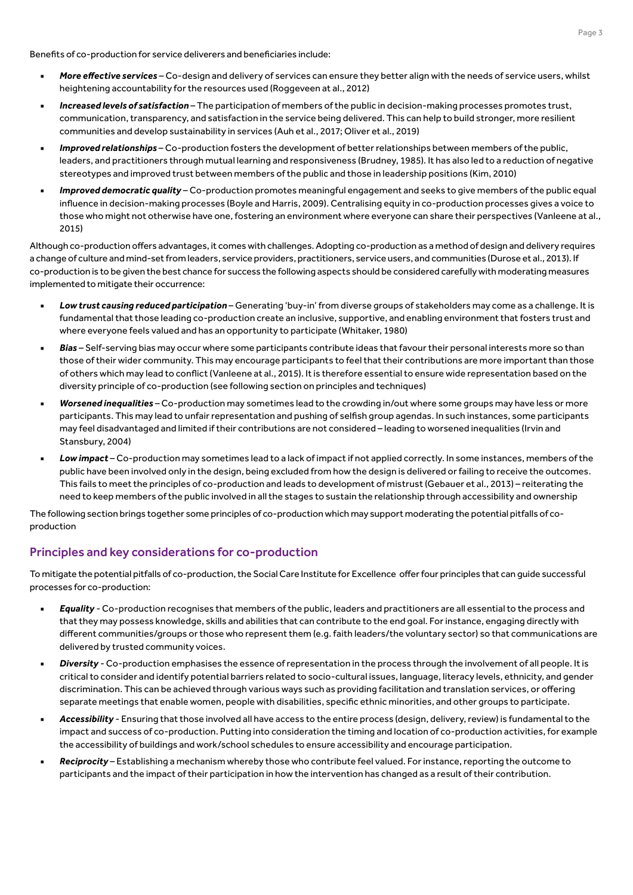Benefits of co-production for service deliverers and beneficiaries include:

- More effective services Co-design and delivery of services can ensure they better align with the needs of service users, whilst heightening accountability for the resources used (Roggeveen at al., 2012)
- **Increased levels of satisfaction** The participation of members of the public in decision-making processes promotes trust, communication, transparency, and satisfaction in the service being delivered. This can help to build stronger, more resilient communities and develop sustainability in services (Auh et al., 2017; Oliver et al., 2019)
- Improved relationships Co-production fosters the development of better relationships between members of the public, leaders, and practitioners through mutual learning and responsiveness (Brudney, 1985). It has also led to a reduction of negative stereotypes and improved trust between members of the public and those in leadership positions (Kim, 2010)
- Improved democratic quality Co-production promotes meaningful engagement and seeks to give members of the public equal influence in decision-making processes (Boyle and Harris, 2009). Centralising equity in co-production processes gives a voice to those who might not otherwise have one, fostering an environment where everyone can share their perspectives (Vanleene at al., 2015)

Although co-production offers advantages, it comes with challenges. Adopting co-production as a method of design and delivery requires a change of culture and mind-set from leaders, service providers, practitioners, service users, and communities (Durose et al., 2013). If co-production is to be given the best chance for success the following aspects should be considered carefully with moderating measures implemented to mitigate their occurrence:

- Low trust causing reduced participation Generating 'buy-in' from diverse groups of stakeholders may come as a challenge. It is fundamental that those leading co-production create an inclusive, supportive, and enabling environment that fosters trust and where everyone feels valued and has an opportunity to participate (Whitaker, 1980)
- Bias Self-serving bias may occur where some participants contribute ideas that favour their personal interests more so than those of their wider community. This may encourage participants to feel that their contributions are more important than those of others which may lead to conflict (Vanleene at al., 2015). It is therefore essential to ensure wide representation based on the diversity principle of co-production (see following section on principles and techniques)
- Worsened inequalities Co-production may sometimes lead to the crowding in/out where some groups may have less or more participants. This may lead to unfair representation and pushing of selfish group agendas. In such instances, some participants may feel disadvantaged and limited if their contributions are not considered – leading to worsened inequalities (Irvin and Stansbury, 2004)
- Low impact Co-production may sometimes lead to a lack of impact if not applied correctly. In some instances, members of the public have been involved only in the design, being excluded from how the design is delivered or failing to receive the outcomes. This fails to meet the principles of co-production and leads to development of mistrust (Gebauer et al., 2013) – reiterating the need to keep members of the public involved in all the stages to sustain the relationship through accessibility and ownership

The following section brings together some principles of co-production which may support moderating the potential pitfalls of coproduction

#### Principles and key considerations for co-production

To mitigate the potential pitfalls of co-production, the Social Care Institute for Excellence offer four principles that can guide successful processes for co-production:

- **Equality** Co-production recognises that members of the public, leaders and practitioners are all essential to the process and that they may possess knowledge, skills and abilities that can contribute to the end goal. For instance, engaging directly with different communities/groups or those who represent them (e.g. faith leaders/the voluntary sector) so that communications are delivered by trusted community voices.
- Diversity Co-production emphasises the essence of representation in the process through the involvement of all people. It is critical to consider and identify potential barriers related to socio-cultural issues, language, literacy levels, ethnicity, and gender discrimination. This can be achieved through various ways such as providing facilitation and translation services, or offering separate meetings that enable women, people with disabilities, specific ethnic minorities, and other groups to participate.
- Accessibility Ensuring that those involved all have access to the entire process (design, delivery, review) is fundamental to the impact and success of co-production. Putting into consideration the timing and location of co-production activities, for example the accessibility of buildings and work/school schedules to ensure accessibility and encourage participation.
- Reciprocity Establishing a mechanism whereby those who contribute feel valued. For instance, reporting the outcome to participants and the impact of their participation in how the intervention has changed as a result of their contribution.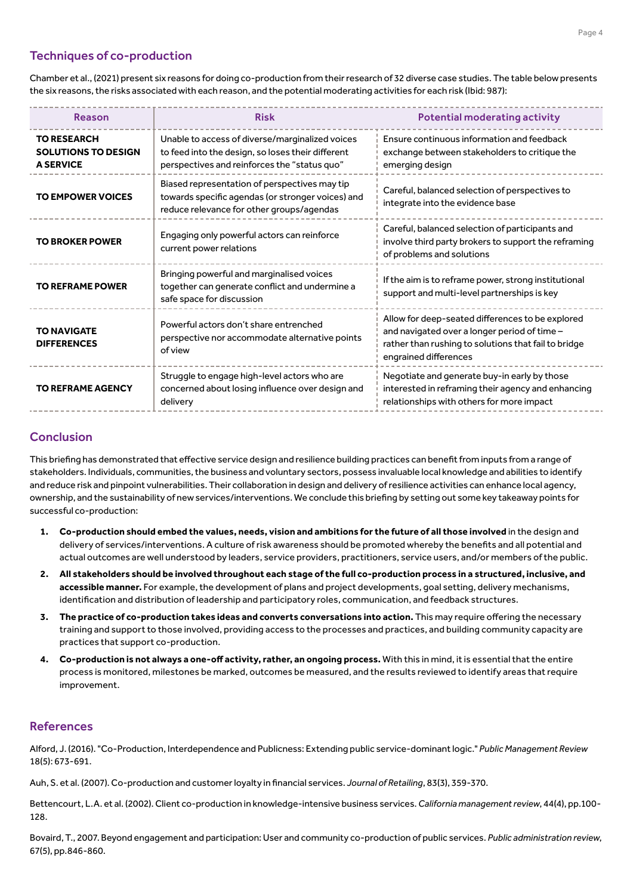#### Techniques of co-production

Chamber et al., (2021) present six reasons for doing co-production from their research of 32 diverse case studies. The table below presents the six reasons, the risks associated with each reason, and the potential moderating activities for each risk (Ibid: 987):

| <b>Reason</b>                                                        | <b>Risk</b>                                                                                                                                          | <b>Potential moderating activity</b>                                                                                                                                              |
|----------------------------------------------------------------------|------------------------------------------------------------------------------------------------------------------------------------------------------|-----------------------------------------------------------------------------------------------------------------------------------------------------------------------------------|
| <b>TO RESEARCH</b><br><b>SOLUTIONS TO DESIGN</b><br><b>A SERVICE</b> | Unable to access of diverse/marginalized voices<br>to feed into the design, so loses their different<br>perspectives and reinforces the "status quo" | Ensure continuous information and feedback<br>exchange between stakeholders to critique the<br>emerging design                                                                    |
| <b>TO EMPOWER VOICES</b>                                             | Biased representation of perspectives may tip<br>towards specific agendas (or stronger voices) and<br>reduce relevance for other groups/agendas      | Careful, balanced selection of perspectives to<br>integrate into the evidence base                                                                                                |
| <b>TO BROKER POWER</b>                                               | Engaging only powerful actors can reinforce<br>current power relations                                                                               | Careful, balanced selection of participants and<br>involve third party brokers to support the reframing<br>of problems and solutions                                              |
| <b>TO REFRAME POWER</b>                                              | Bringing powerful and marginalised voices<br>together can generate conflict and undermine a<br>safe space for discussion                             | If the aim is to reframe power, strong institutional<br>support and multi-level partnerships is key                                                                               |
| <b>TO NAVIGATE</b><br><b>DIFFERENCES</b>                             | Powerful actors don't share entrenched<br>perspective nor accommodate alternative points<br>of view                                                  | Allow for deep-seated differences to be explored<br>and navigated over a longer period of time -<br>rather than rushing to solutions that fail to bridge<br>engrained differences |
| <b>TO REFRAME AGENCY</b>                                             | Struggle to engage high-level actors who are<br>concerned about losing influence over design and<br>delivery                                         | Negotiate and generate buy-in early by those<br>interested in reframing their agency and enhancing<br>relationships with others for more impact                                   |

#### **Conclusion**

This briefing has demonstrated that effective service design and resilience building practices can benefit from inputs from a range of stakeholders. Individuals, communities, the business and voluntary sectors, possess invaluable local knowledge and abilities to identify and reduce risk and pinpoint vulnerabilities. Their collaboration in design and delivery of resilience activities can enhance local agency, ownership, and the sustainability of new services/interventions. We conclude this briefing by setting out some key takeaway points for successful co-production:

- **1. Co-production should embed the values, needs, vision and ambitions for the future of all those involved** in the design and delivery of services/interventions. A culture of risk awareness should be promoted whereby the benefits and all potential and actual outcomes are well understood by leaders, service providers, practitioners, service users, and/or members of the public.
- **2. All stakeholders should be involved throughout each stage of the full co-production process in a structured, inclusive, and accessible manner.** For example, the development of plans and project developments, goal setting, delivery mechanisms, identification and distribution of leadership and participatory roles, communication, and feedback structures.
- **3. The practice of co-production takes ideas and converts conversations into action.** This may require offering the necessary training and support to those involved, providing access to the processes and practices, and building community capacity are practices that support co-production.
- **4. Co-production is not always a one-off activity, rather, an ongoing process.** With this in mind, it is essential that the entire process is monitored, milestones be marked, outcomes be measured, and the results reviewed to identify areas that require improvement.

#### **References**

Alford, J. (2016). "Co-Production, Interdependence and Publicness: Extending public service-dominant logic." *Public Management Review* 18(5): 673-691.

Auh, S. et al. (2007). Co-production and customer loyalty in financial services. *Journal of Retailing*, 83(3), 359-370.

Bettencourt, L.A. et al. (2002). Client co-production in knowledge-intensive business services. *California management review*, 44(4), pp.100- 128.

Bovaird, T., 2007. Beyond engagement and participation: User and community co-production of public services. *Public administration review*, 67(5), pp.846-860.